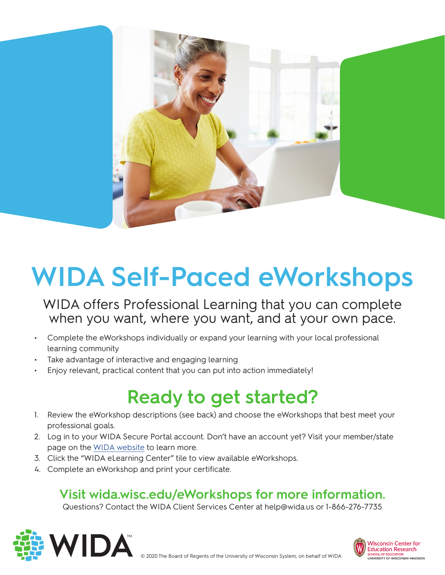

# **WIDA Self-Paced eWorkshops**

WIDA offers Professional Learning that you can complete when you want, where you want, and at your own pace.

- Complete the eWorkshops individually or expand your learning with your local professional learning community
- Take advantage of interactive and engaging learning
- Enjoy relevant, practical content that you can put into action immediately!

# **Ready to get started?**

- 1. Review the eWorkshop descriptions (see back) and choose the eWorkshops that best meet your professional goals.
- 2. Log in to your WIDA Secure Portal account. Don't have an account yet? Visit your member/state page on the [WIDA website](http://wida.wisc.edu) to learn more.
- 3. Click the "WIDA eLearning Center" tile to view available eWorkshops.
- 4. Complete an eWorkshop and print your certificate.

### **Visit [wida.wisc.edu/eWorkshops](https://wida.wisc.edu/eWorkshops) for more information.**

Questions? Contact the WIDA Client Services Center at [help@wida.us](mailto:help@wida.us) or 1-866-276-7735